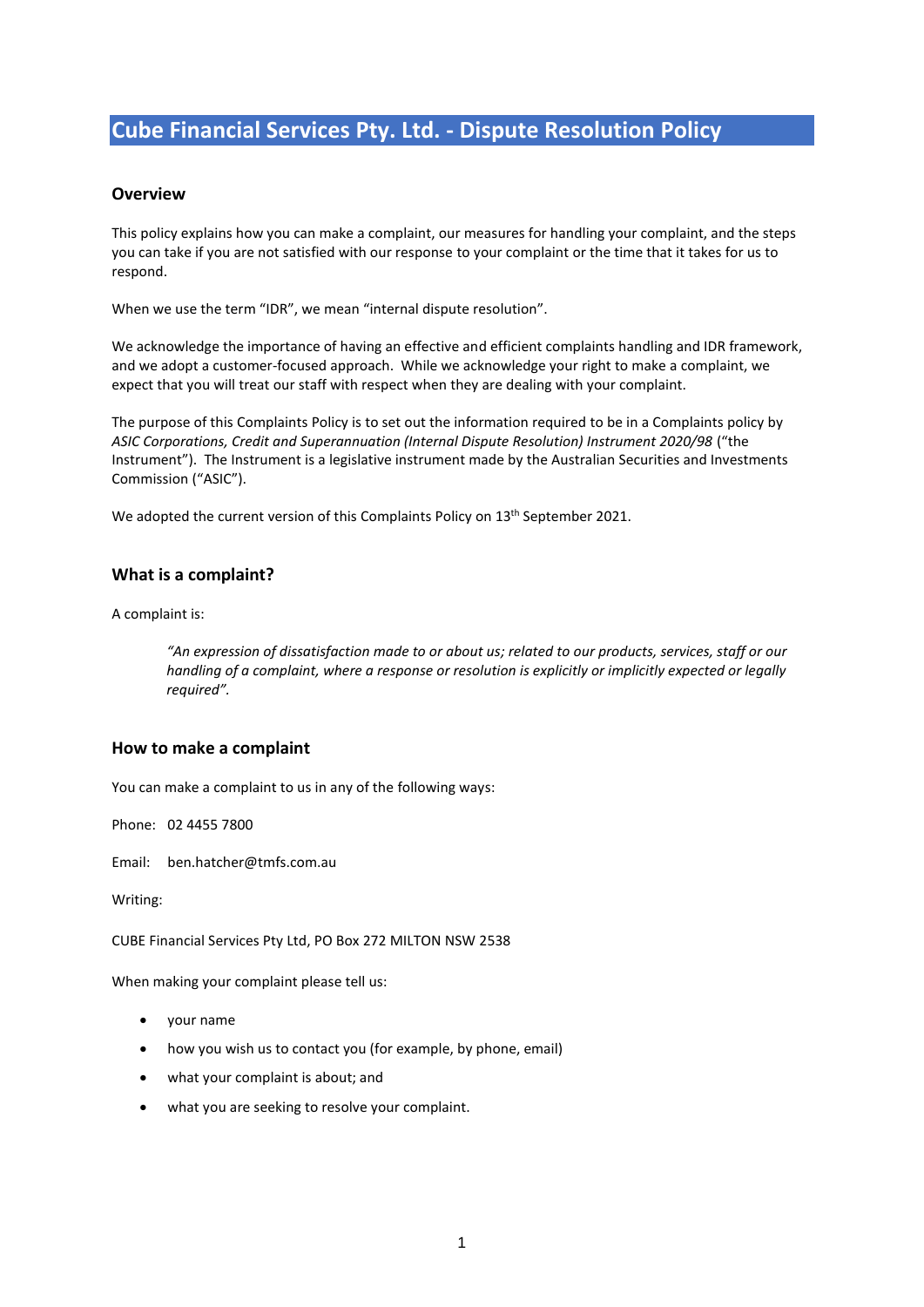# **Cube Financial Services Pty. Ltd. - Dispute Resolution Policy**

#### **Overview**

This policy explains how you can make a complaint, our measures for handling your complaint, and the steps you can take if you are not satisfied with our response to your complaint or the time that it takes for us to respond.

When we use the term "IDR", we mean "internal dispute resolution".

We acknowledge the importance of having an effective and efficient complaints handling and IDR framework, and we adopt a customer-focused approach. While we acknowledge your right to make a complaint, we expect that you will treat our staff with respect when they are dealing with your complaint.

The purpose of this Complaints Policy is to set out the information required to be in a Complaints policy by *ASIC Corporations, Credit and Superannuation (Internal Dispute Resolution) Instrument 2020/98* ("the Instrument"). The Instrument is a legislative instrument made by the Australian Securities and Investments Commission ("ASIC").

We adopted the current version of this Complaints Policy on 13<sup>th</sup> September 2021.

#### **What is a complaint?**

A complaint is:

*"An expression of dissatisfaction made to or about us; related to our products, services, staff or our handling of a complaint, where a response or resolution is explicitly or implicitly expected or legally required".*

#### **How to make a complaint**

You can make a complaint to us in any of the following ways:

Phone: 02 4455 7800

Email: ben.hatcher@tmfs.com.au

Writing:

CUBE Financial Services Pty Ltd, PO Box 272 MILTON NSW 2538

When making your complaint please tell us:

- your name
- how you wish us to contact you (for example, by phone, email)
- what your complaint is about; and
- what you are seeking to resolve your complaint.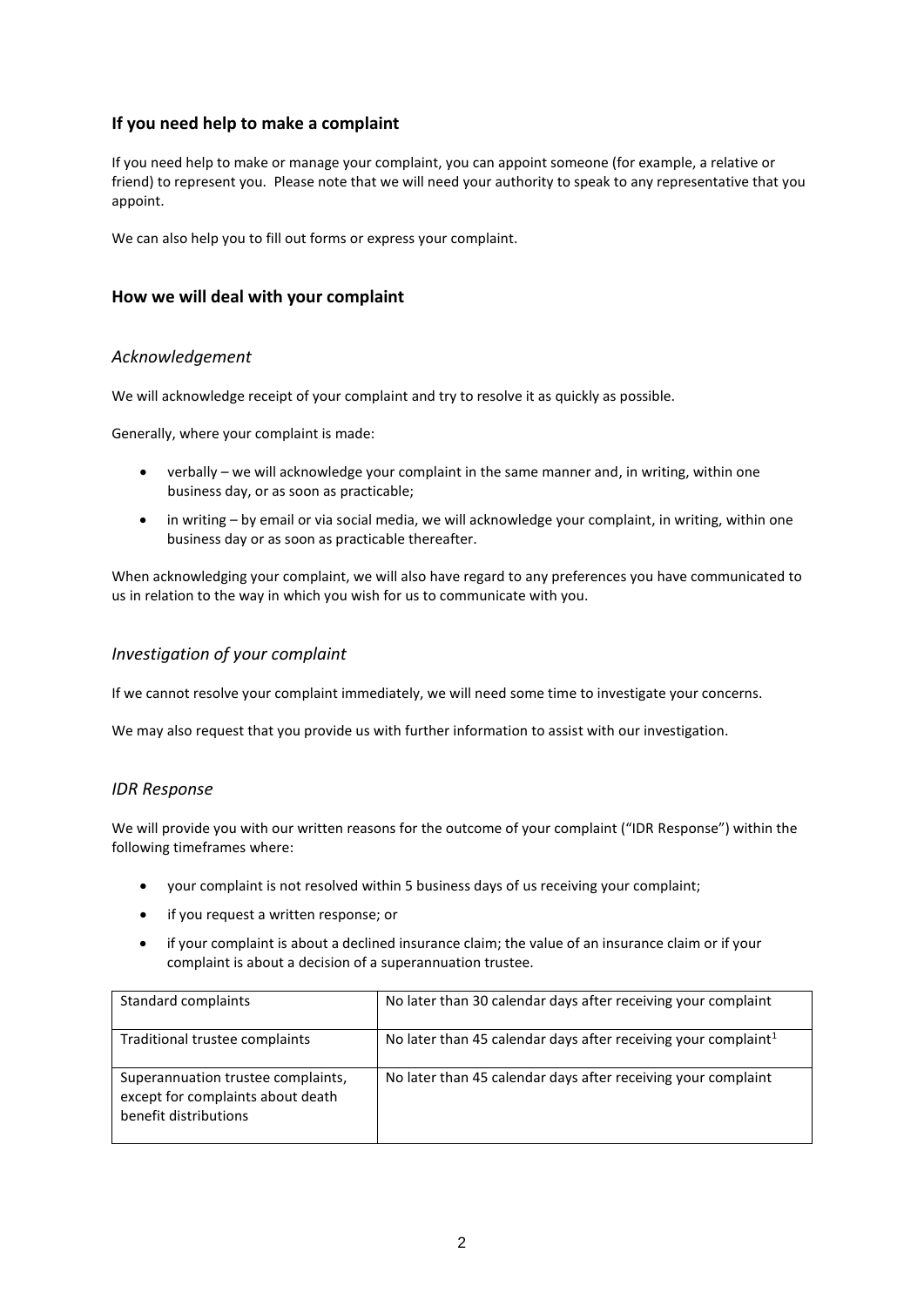# **If you need help to make a complaint**

If you need help to make or manage your complaint, you can appoint someone (for example, a relative or friend) to represent you. Please note that we will need your authority to speak to any representative that you appoint.

We can also help you to fill out forms or express your complaint.

## **How we will deal with your complaint**

## *Acknowledgement*

We will acknowledge receipt of your complaint and try to resolve it as quickly as possible.

Generally, where your complaint is made:

- verbally we will acknowledge your complaint in the same manner and, in writing, within one business day, or as soon as practicable;
- in writing by email or via social media, we will acknowledge your complaint, in writing, within one business day or as soon as practicable thereafter.

When acknowledging your complaint, we will also have regard to any preferences you have communicated to us in relation to the way in which you wish for us to communicate with you.

#### *Investigation of your complaint*

If we cannot resolve your complaint immediately, we will need some time to investigate your concerns.

We may also request that you provide us with further information to assist with our investigation.

#### *IDR Response*

We will provide you with our written reasons for the outcome of your complaint ("IDR Response") within the following timeframes where:

- your complaint is not resolved within 5 business days of us receiving your complaint;
- if you request a written response; or
- if your complaint is about a declined insurance claim; the value of an insurance claim or if your complaint is about a decision of a superannuation trustee.

| Standard complaints                                                                              | No later than 30 calendar days after receiving your complaint              |
|--------------------------------------------------------------------------------------------------|----------------------------------------------------------------------------|
| Traditional trustee complaints                                                                   | No later than 45 calendar days after receiving your complaint <sup>1</sup> |
| Superannuation trustee complaints,<br>except for complaints about death<br>benefit distributions | No later than 45 calendar days after receiving your complaint              |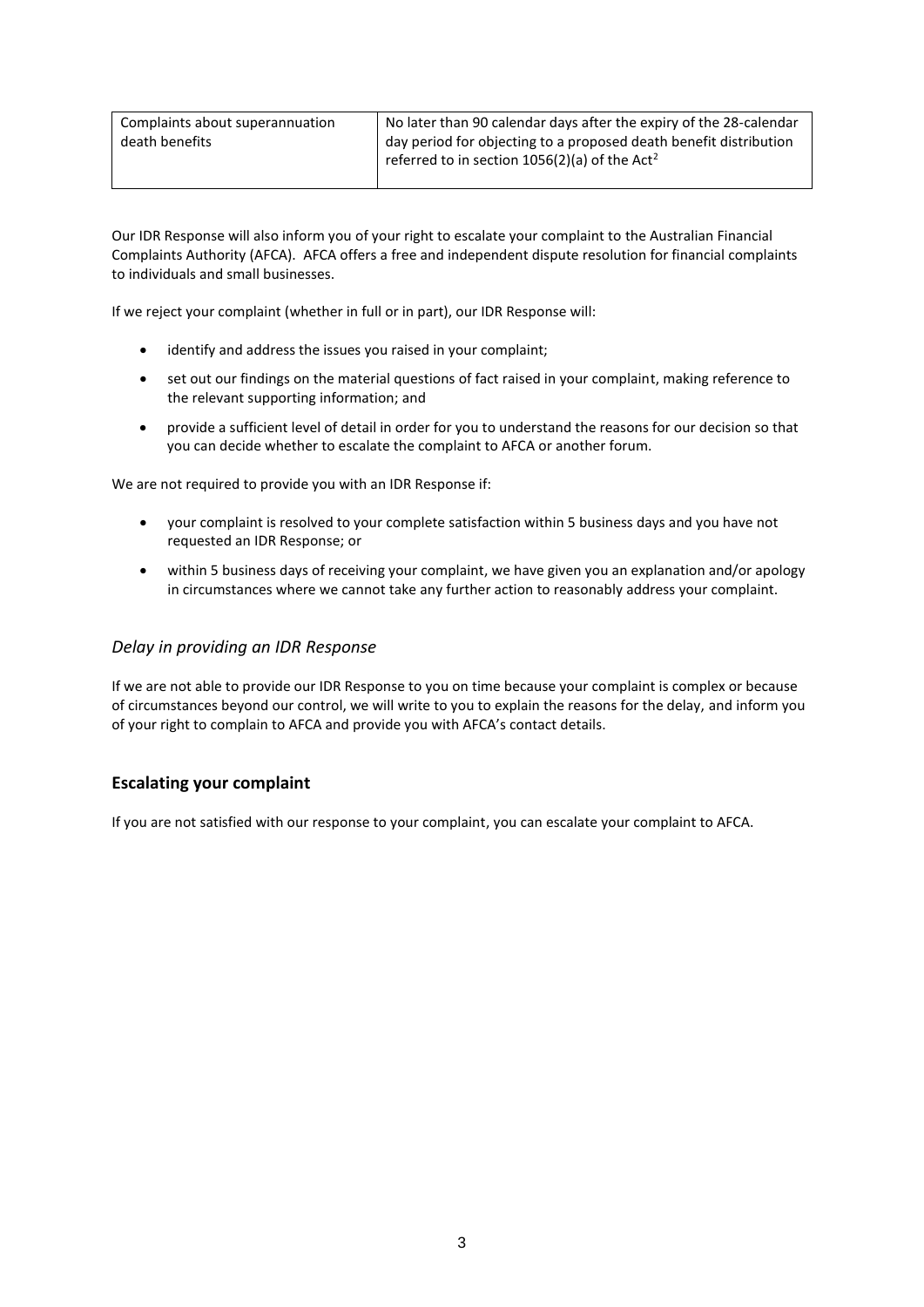| Complaints about superannuation | No later than 90 calendar days after the expiry of the 28-calendar |
|---------------------------------|--------------------------------------------------------------------|
| death benefits                  | day period for objecting to a proposed death benefit distribution  |
|                                 | referred to in section $1056(2)(a)$ of the Act <sup>2</sup>        |
|                                 |                                                                    |

Our IDR Response will also inform you of your right to escalate your complaint to the Australian Financial Complaints Authority (AFCA). AFCA offers a free and independent dispute resolution for financial complaints to individuals and small businesses.

If we reject your complaint (whether in full or in part), our IDR Response will:

- identify and address the issues you raised in your complaint;
- set out our findings on the material questions of fact raised in your complaint, making reference to the relevant supporting information; and
- provide a sufficient level of detail in order for you to understand the reasons for our decision so that you can decide whether to escalate the complaint to AFCA or another forum.

We are not required to provide you with an IDR Response if:

- your complaint is resolved to your complete satisfaction within 5 business days and you have not requested an IDR Response; or
- within 5 business days of receiving your complaint, we have given you an explanation and/or apology in circumstances where we cannot take any further action to reasonably address your complaint.

#### *Delay in providing an IDR Response*

If we are not able to provide our IDR Response to you on time because your complaint is complex or because of circumstances beyond our control, we will write to you to explain the reasons for the delay, and inform you of your right to complain to AFCA and provide you with AFCA's contact details.

## **Escalating your complaint**

If you are not satisfied with our response to your complaint, you can escalate your complaint to AFCA.